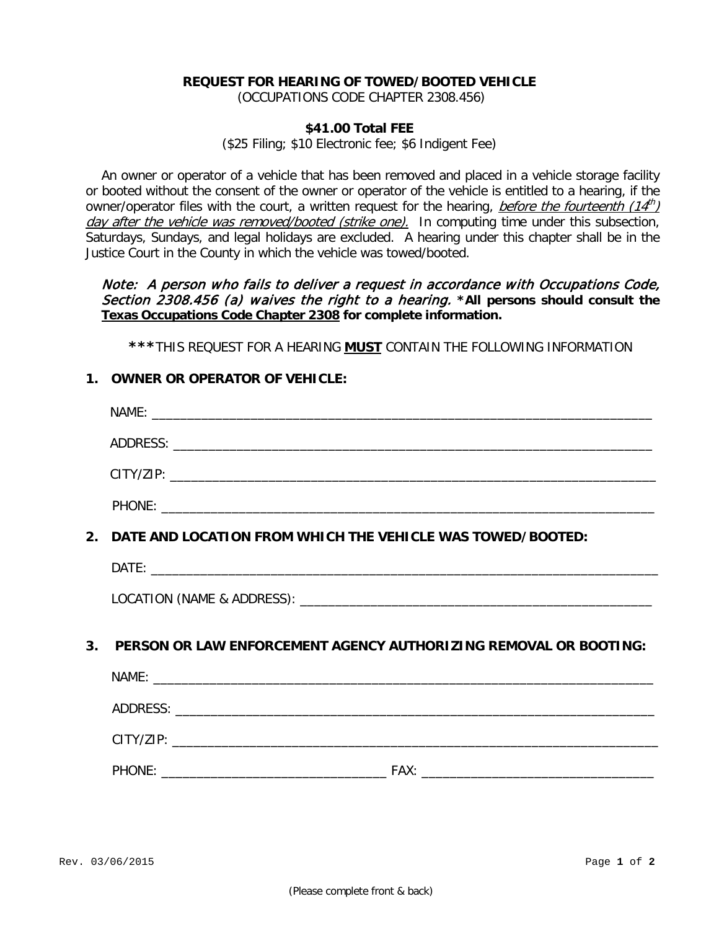#### **REQUEST FOR HEARING OF TOWED/BOOTED VEHICLE**

(OCCUPATIONS CODE CHAPTER 2308.456)

## **\$41.00 Total FEE**

(\$25 Filing; \$10 Electronic fee; \$6 Indigent Fee)

An owner or operator of a vehicle that has been removed and placed in a vehicle storage facility or booted without the consent of the owner or operator of the vehicle is entitled to a hearing, if the owner/operator files with the court, a written request for the hearing, *before the fourteenth*  $(14<sup>th</sup>)$ day after the vehicle was removed/booted (strike one). In computing time under this subsection, Saturdays, Sundays, and legal holidays are excluded. A hearing under this chapter shall be in the Justice Court in the County in which the vehicle was towed/booted.

## Note: A person who fails to deliver a request in accordance with Occupations Code, Section 2308.456 (a) waives the right to a hearing. **\*All persons should consult the Texas Occupations Code Chapter 2308 for complete information.**

**\*\*\***THIS REQUEST FOR A HEARING **MUST** CONTAIN THE FOLLOWING INFORMATION

#### **1. OWNER OR OPERATOR OF VEHICLE:**

|    | 2. DATE AND LOCATION FROM WHICH THE VEHICLE WAS TOWED/BOOTED:    |
|----|------------------------------------------------------------------|
|    |                                                                  |
|    |                                                                  |
| 3. | PERSON OR LAW ENFORCEMENT AGENCY AUTHORIZING REMOVAL OR BOOTING: |
|    |                                                                  |
|    |                                                                  |
|    |                                                                  |
|    |                                                                  |
|    |                                                                  |